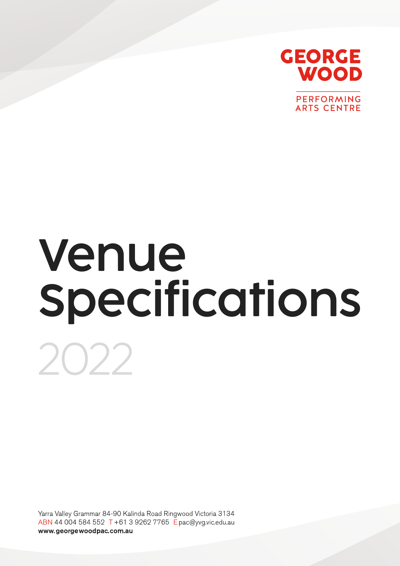

PERFORMING **ARTS CENTRE** 

# Venue Specifications 2022

Yarra Valley Grammar 84-90 Kalinda Road Ringwood Victoria 3134 ABN 44 004 584 552 T +61 3 9262 7765 Epac@yvq.vic.edu.au www.georgewoodpac.com.au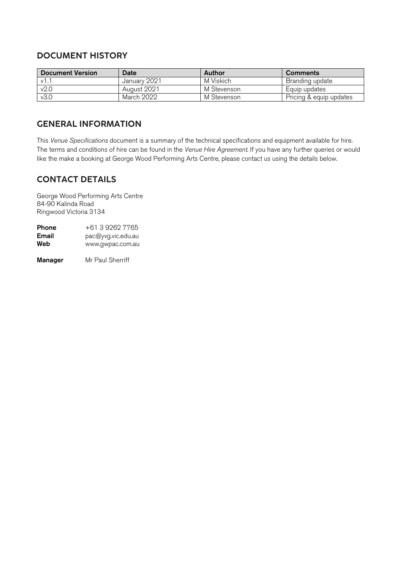# DOCUMENT HISTORY

| <b>Document Version</b> | <b>Date</b>  | Author      | <b>Comments</b>         |  |
|-------------------------|--------------|-------------|-------------------------|--|
| $\mathsf{v1}$ .         | January 2021 | M Viskich   | Branding update         |  |
| v2.0                    | August 2021  | M Stevenson | Equip updates           |  |
| v3.0                    | March 2022   | M Stevenson | Pricing & equip updates |  |

# GENERAL INFORMATION

This *Venue Specifications* document is a summary of the technical specifications and equipment available for hire. The terms and conditions of hire can be found in the *Venue Hire Agreement*. If you have any further queries or would like the make a booking at George Wood Performing Arts Centre, please contact us using the details below.

# CONTACT DETAILS

George Wood Performing Arts Centre 84-90 Kalinda Road Ringwood Victoria 3134

| Phone | +61 3 9262 7765    |
|-------|--------------------|
| Email | pac@yvg.vic.edu.au |
| Web   | www.gwpac.com.au   |
|       |                    |

**Manager** Mr Paul Sherriff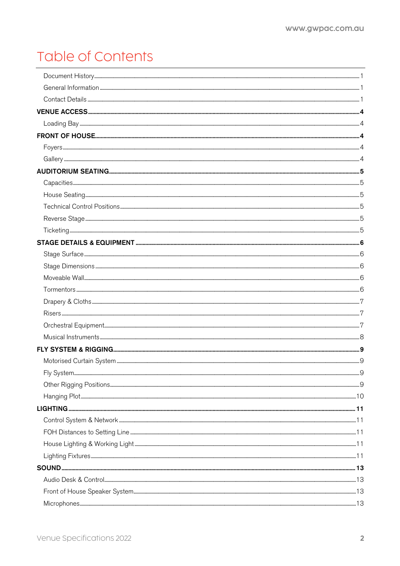# Table of Contents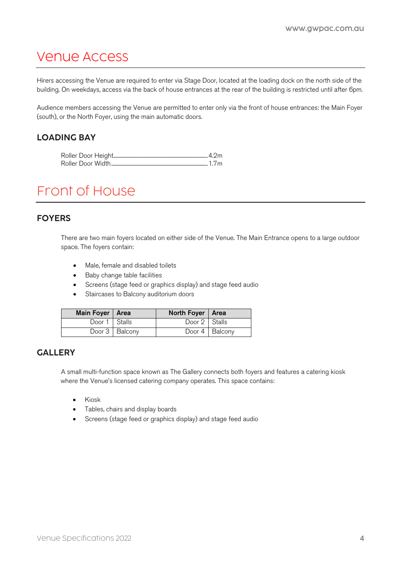# Venue Access

Hirers accessing the Venue are required to enter via Stage Door, located at the loading dock on the north side of the building. On weekdays, access via the back of house entrances at the rear of the building is restricted until after 6pm.

Audience members accessing the Venue are permitted to enter only via the front of house entrances: the Main Foyer (south), or the North Foyer, using the main automatic doors.

# LOADING BAY

# Front of House

#### FOYERS

There are two main foyers located on either side of the Venue. The Main Entrance opens to a large outdoor space. The foyers contain:

- Male, female and disabled toilets
- Baby change table facilities
- Screens (stage feed or graphics display) and stage feed audio
- Staircases to Balcony auditorium doors

| Main Foyer   Area |                | North Foyer   Area |                  |
|-------------------|----------------|--------------------|------------------|
| Door 1   Stalls   |                | Door 2 Stalls      |                  |
|                   | Door 3 Balcony |                    | Door 4   Balcony |

# **GALLERY**

A small multi-function space known as The Gallery connects both foyers and features a catering kiosk where the Venue's licensed catering company operates. This space contains:

- Kiosk
- Tables, chairs and display boards
- Screens (stage feed or graphics display) and stage feed audio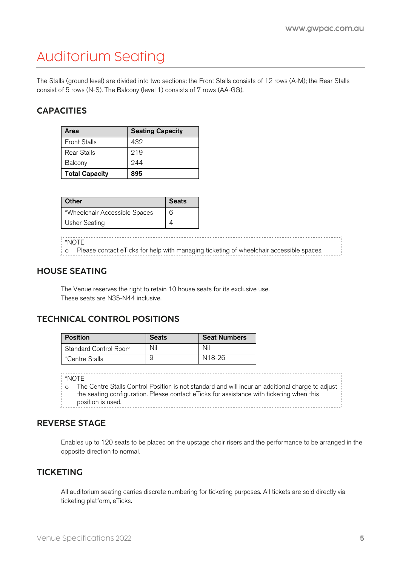# Auditorium Seating

The Stalls (ground level) are divided into two sections: the Front Stalls consists of 12 rows (A-M); the Rear Stalls consist of 5 rows (N-S). The Balcony (level 1) consists of 7 rows (AA-GG).

# **CAPACITIES**

| Area                  | <b>Seating Capacity</b> |
|-----------------------|-------------------------|
| <b>Front Stalls</b>   | 432                     |
| Rear Stalls           | 219                     |
| Balcony               | 944                     |
| <b>Total Capacity</b> | 895                     |

| Other                         | <b>Seats</b> |
|-------------------------------|--------------|
| *Wheelchair Accessible Spaces | 6            |
| Usher Seating                 |              |

\*NOTE

o Please contact eTicks for help with managing ticketing of wheelchair accessible spaces.

# HOUSE SEATING

The Venue reserves the right to retain 10 house seats for its exclusive use. These seats are N35-N44 inclusive.

# TECHNICAL CONTROL POSITIONS

| <b>Position</b>       | <b>Seats</b> | <b>Seat Numbers</b> |
|-----------------------|--------------|---------------------|
| Standard Control Room | Nil          | Nil                 |
| *Centre Stalls        | 9            | N18-26              |

\*NOTE

o The Centre Stalls Control Position is not standard and will incur an additional charge to adjust the seating configuration. Please contact eTicks for assistance with ticketing when this position is used. 

# REVERSE STAGE

Enables up to 120 seats to be placed on the upstage choir risers and the performance to be arranged in the opposite direction to normal.

#### **TICKETING**

All auditorium seating carries discrete numbering for ticketing purposes. All tickets are sold directly via ticketing platform, eTicks.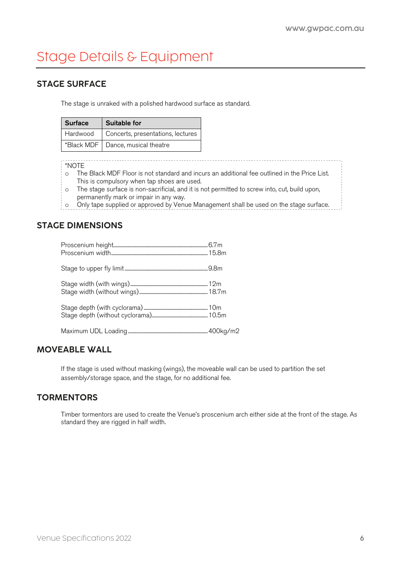# Stage Details & Equipment

# STAGE SURFACE

The stage is unraked with a polished hardwood surface as standard.

| <b>Surface</b> | <b>Suitable for</b>                 |  |  |
|----------------|-------------------------------------|--|--|
| Hardwood       | Concerts, presentations, lectures   |  |  |
|                | *Black MDF   Dance, musical theatre |  |  |

#### \*NOTE

o The Black MDF Floor is not standard and incurs an additional fee outlined in the Price List. This is compulsory when tap shoes are used.

- o The stage surface is non-sacrificial, and it is not permitted to screw into, cut, build upon, permanently mark or impair in any way.
- o Only tape supplied or approved by Venue Management shall be used on the stage surface.

# STAGE DIMENSIONS

#### MOVEABLE WALL

If the stage is used without masking (wings), the moveable wall can be used to partition the set assembly/storage space, and the stage, for no additional fee.

# **TORMENTORS**

Timber tormentors are used to create the Venue's proscenium arch either side at the front of the stage. As standard they are rigged in half width.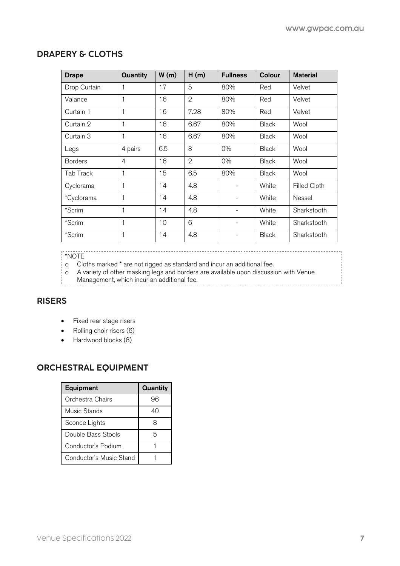# DRAPERY & CLOTHS

| <b>Drape</b>   | <b>Quantity</b> | W(m) | H(m)           | <b>Fullness</b> | Colour       | <b>Material</b>     |
|----------------|-----------------|------|----------------|-----------------|--------------|---------------------|
| Drop Curtain   | 1               | 17   | 5              | 80%             | Red          | Velvet              |
| Valance        | 1               | 16   | $\overline{2}$ | 80%             | Red          | Velvet              |
| Curtain 1      |                 | 16   | 7.28           | 80%             | Red          | Velvet              |
| Curtain 2      | 1               | 16   | 6.67           | 80%             | <b>Black</b> | Wool                |
| Curtain 3      | 1               | 16   | 6.67           | 80%             | <b>Black</b> | Wool                |
| Legs           | 4 pairs         | 6.5  | 3              | $O\%$           | <b>Black</b> | Wool                |
| <b>Borders</b> | 4               | 16   | $\overline{2}$ | $O\%$           | <b>Black</b> | Wool                |
| Tab Track      | 1               | 15   | 6.5            | 80%             | <b>Black</b> | Wool                |
| Cyclorama      | 1               | 14   | 4.8            |                 | White        | <b>Filled Cloth</b> |
| *Cyclorama     | 1               | 14   | 4.8            |                 | White        | Nessel              |
| *Scrim         |                 | 14   | 4.8            |                 | White        | Sharkstooth         |
| *Scrim         |                 | 10   | 6              |                 | White        | Sharkstooth         |
| *Scrim         |                 | 14   | 4.8            |                 | <b>Black</b> | Sharkstooth         |

#### $*$ NOTE

o Cloths marked \* are not rigged as standard and incur an additional fee.

o A variety of other masking legs and borders are available upon discussion with Venue Management, which incur an additional fee.

#### RISERS

- Fixed rear stage risers
- Rolling choir risers (6)
- Hardwood blocks (8)

# ORCHESTRAL EQUIPMENT

| Equipment               | <b>Quantity</b> |  |
|-------------------------|-----------------|--|
| Orchestra Chairs        | 96              |  |
| Music Stands            | 40              |  |
| Sconce Lights           | 8               |  |
| Double Bass Stools      | 5               |  |
| Conductor's Podium      |                 |  |
| Conductor's Music Stand |                 |  |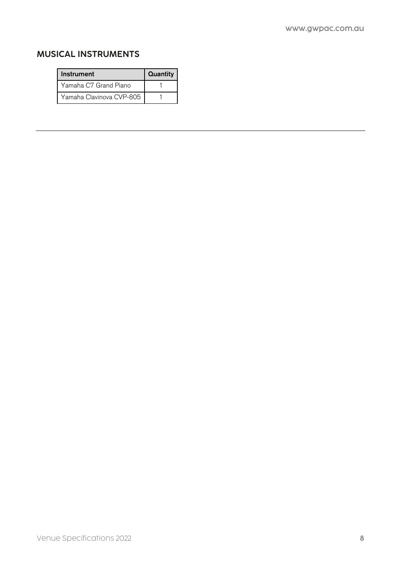# MUSICAL INSTRUMENTS

| <b>Instrument</b>        | Quantity |
|--------------------------|----------|
| Yamaha C7 Grand Piano    |          |
| Yamaha Clavinova CVP-805 |          |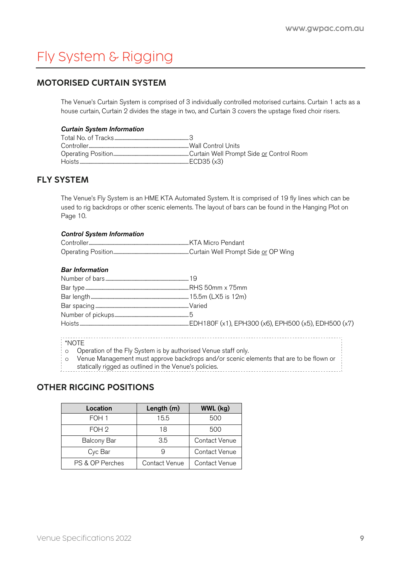# Fly System & Rigging

# MOTORISED CURTAIN SYSTEM

The Venue's Curtain System is comprised of 3 individually controlled motorised curtains. Curtain 1 acts as a house curtain, Curtain 2 divides the stage in two, and Curtain 3 covers the upstage fixed choir risers.

#### *Curtain System Information*

# FLY SYSTEM

The Venue's Fly System is an HME KTA Automated System. It is comprised of 19 fly lines which can be used to rig backdrops or other scenic elements. The layout of bars can be found in the Hanging Plot on Page 10.

#### *Control System Information*

#### *Bar Information*

#### o Operation of the Fly System is by authorised Venue staff only.

o Venue Management must approve backdrops and/or scenic elements that are to be flown or

statically rigged as outlined in the Venue's policies.

# OTHER RIGGING POSITIONS

| Location           | Length (m)    | WWL (kg)      |
|--------------------|---------------|---------------|
| FOH 1              | 15.5          | 500           |
| FOH <sub>2</sub>   | 18            | 500           |
| <b>Balcony Bar</b> | 3.5           | Contact Venue |
| Cyc Bar            |               | Contact Venue |
| PS & OP Perches    | Contact Venue | Contact Venue |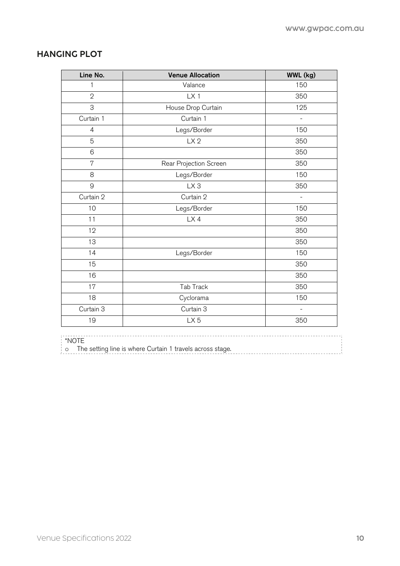# HANGING PLOT

| Line No.       | <b>Venue Allocation</b> | WWL (kg)                 |
|----------------|-------------------------|--------------------------|
| 1              | Valance                 | 150                      |
| $\overline{2}$ | LX1                     | 350                      |
| 3              | House Drop Curtain      | 125                      |
| Curtain 1      | Curtain 1               | $\qquad \qquad -$        |
| $\overline{4}$ | Legs/Border             | 150                      |
| 5              | LX <sub>2</sub>         | 350                      |
| 6              |                         | 350                      |
| 7              | Rear Projection Screen  | 350                      |
| 8              | Legs/Border             | 150                      |
| 9              | LX <sub>3</sub>         | 350                      |
| Curtain 2      | Curtain 2               |                          |
| 10             | Legs/Border             | 150                      |
| 11             | LX4                     | 350                      |
| 12             |                         | 350                      |
| 13             |                         | 350                      |
| 14             | Legs/Border             | 150                      |
| 15             |                         | 350                      |
| 16             |                         | 350                      |
| 17             | Tab Track               | 350                      |
| 18             | Cyclorama               | 150                      |
| Curtain 3      | Curtain 3               | $\overline{\phantom{a}}$ |
| 19             | LX <sub>5</sub>         | 350                      |

## \*NOTE

 $\frac{1}{100}$  The setting line is where Curtain 1 travels across stage.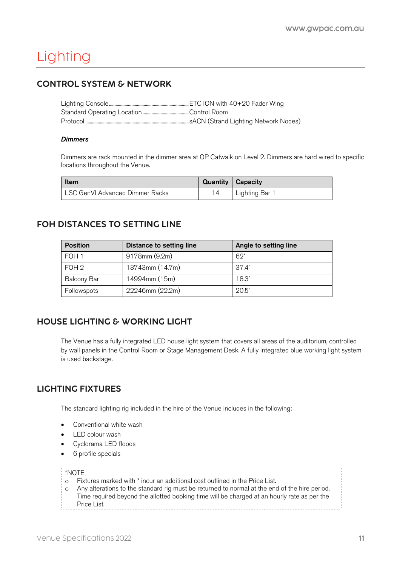# Lighting

# CONTROL SYSTEM & NETWORK

#### *Dimmers*

Dimmers are rack mounted in the dimmer area at OP Catwalk on Level 2. Dimmers are hard wired to specific locations throughout the Venue.

| Item                            | Quantity   Capacity |              |
|---------------------------------|---------------------|--------------|
| LSC GenVI Advanced Dimmer Racks |                     | Lighting Bar |

# FOH DISTANCES TO SETTING LINE

| <b>Position</b>    | Distance to setting line | Angle to setting line |
|--------------------|--------------------------|-----------------------|
| FOH 1              | 9178mm (9.2m)            | $62^\circ$            |
| FOH 2              | 13743mm (14.7m)          | $37.4^\circ$          |
| <b>Balcony Bar</b> | 14994mm (15m)            | $18.3^{\circ}$        |
| Followspots        | 22246mm (22.2m)          | $20.5^{\circ}$        |

# HOUSE LIGHTING & WORKING LIGHT

The Venue has a fully integrated LED house light system that covers all areas of the auditorium, controlled by wall panels in the Control Room or Stage Management Desk. A fully integrated blue working light system is used backstage.

# LIGHTING FIXTURES

The standard lighting rig included in the hire of the Venue includes in the following:

- Conventional white wash
- LED colour wash
- Cyclorama LED floods
- 6 profile specials

#### \*NOTE

- o Fixtures marked with \* incur an additional cost outlined in the Price List.
- o Any alterations to the standard rig must be returned to normal at the end of the hire period. Time required beyond the allotted booking time will be charged at an hourly rate as per the Price List.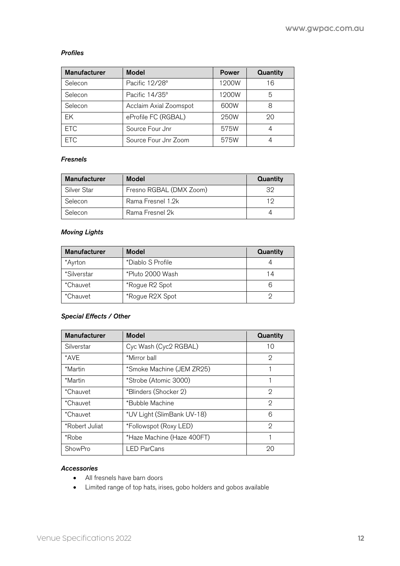#### *Profiles*

| <b>Manufacturer</b> | <b>Model</b>           | <b>Power</b> | Quantity |
|---------------------|------------------------|--------------|----------|
| Selecon             | Pacific 12/28°         | 1200W        | 16       |
| Selecon             | Pacific 14/35°         | 1200W        | 5        |
| Selecon             | Acclaim Axial Zoomspot | 600W         |          |
| EK                  | eProfile FC (RGBAL)    | 250W         | 20       |
| <b>ETC</b>          | Source Four Jnr        | 575W         |          |
| <b>ETC</b>          | Source Four Jnr Zoom   | 575W         |          |

#### *Fresnels*

| <b>Manufacturer</b> | <b>Model</b>            | Quantity |
|---------------------|-------------------------|----------|
| Silver Star         | Fresno RGBAL (DMX Zoom) | 32       |
| Selecon             | Rama Fresnel 1.2k       |          |
| Selecon             | Rama Fresnel 2k         |          |

#### *Moving Lights*

| <b>Manufacturer</b> | <b>Model</b>      | Quantity |
|---------------------|-------------------|----------|
| *Ayrton             | *Diablo S Profile |          |
| *Silverstar         | *Pluto 2000 Wash  | 14       |
| *Chauvet            | *Rogue R2 Spot    |          |
| *Chauvet            | *Rogue R2X Spot   |          |

#### *Special Effects / Other*

| <b>Manufacturer</b> | <b>Model</b>               | Quantity |
|---------------------|----------------------------|----------|
| Silverstar          | Cyc Wash (Cyc2 RGBAL)      | 10       |
| *AVF                | *Mirror ball               | 2        |
| *Martin             | *Smoke Machine (JEM ZR25)  |          |
| *Martin             | *Strobe (Atomic 3000)      |          |
| *Chauvet            | *Blinders (Shocker 2)      | 2        |
| *Chauvet            | *Bubble Machine            | 2        |
| *Chauvet            | *UV Light (SlimBank UV-18) | 6        |
| *Robert Juliat      | *Followspot (Roxy LED)     | 2        |
| *Robe               | *Haze Machine (Haze 400FT) |          |
| ShowPro             | <b>LED ParCans</b>         | 20       |

#### *Accessories*

- All fresnels have barn doors
- Limited range of top hats, irises, gobo holders and gobos available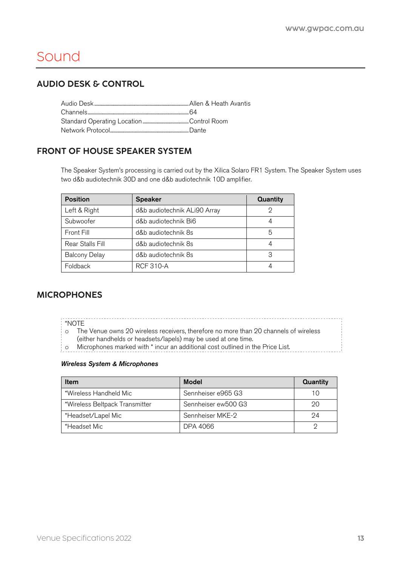# Sound

# AUDIO DESK & CONTROL

# FRONT OF HOUSE SPEAKER SYSTEM

The Speaker System's processing is carried out by the Xilica Solaro FR1 System. The Speaker System uses two d&b audiotechnik 30D and one d&b audiotechnik 10D amplifier.

| <b>Position</b>      | <b>Speaker</b>               | Quantity |
|----------------------|------------------------------|----------|
| Left & Right         | d&b audiotechnik ALi90 Array |          |
| Subwoofer            | d&b audiotechnik Bi6         |          |
| Front Fill           | d&b audiotechnik 8s          | 5        |
| Rear Stalls Fill     | d&b audiotechnik 8s          |          |
| <b>Balcony Delay</b> | d&b audiotechnik 8s          | З        |
| Foldback             | <b>RCF 310-A</b>             |          |

# MICROPHONES

\*NOTE

o The Venue owns 20 wireless receivers, therefore no more than 20 channels of wireless

- (either handhelds or headsets/lapels) may be used at one time.
- **o** Microphones marked with \* incur an additional cost outlined in the Price List.

#### *Wireless System & Microphones*

| Item                           | <b>Model</b>        | Quantity |
|--------------------------------|---------------------|----------|
| *Wireless Handheld Mic         | Sennheiser e965 G3  |          |
| *Wireless Beltpack Transmitter | Sennheiser ew500 G3 | 20       |
| *Headset/Lapel Mic             | Sennheiser MKE-2    | 94       |
| *Headset Mic                   | DPA 4066            |          |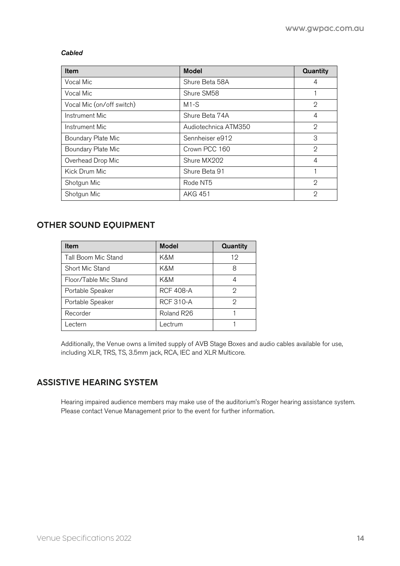#### *Cabled*

| Item                      | <b>Model</b>         | Quantity       |
|---------------------------|----------------------|----------------|
| Vocal Mic                 | Shure Beta 58A       | 4              |
| Vocal Mic                 | Shure SM58           |                |
| Vocal Mic (on/off switch) | $M1-S$               | $\mathfrak{D}$ |
| Instrument Mic            | Shure Beta 74A       | 4              |
| Instrument Mic            | Audiotechnica ATM350 | 2              |
| Boundary Plate Mic        | Sennheiser e912      | 3              |
| Boundary Plate Mic        | Crown PCC 160        | $\mathcal{D}$  |
| Overhead Drop Mic         | Shure MX202          | 4              |
| Kick Drum Mic             | Shure Beta 91        |                |
| Shotgun Mic               | Rode NT5             | 2              |
| Shotgun Mic               | <b>AKG 451</b>       | 2              |

# OTHER SOUND EQUIPMENT

| <b>Item</b>           | <b>Model</b>     | <b>Quantity</b> |
|-----------------------|------------------|-----------------|
| Tall Boom Mic Stand   | K&M              | 12              |
| Short Mic Stand       | K&M              | 8               |
| Floor/Table Mic Stand | K&M              | 4               |
| Portable Speaker      | <b>RCF 408-A</b> | 2               |
| Portable Speaker      | <b>RCF 310-A</b> | 2               |
| Recorder              | Roland R26       |                 |
| Lectern               | Lectrum          |                 |

Additionally, the Venue owns a limited supply of AVB Stage Boxes and audio cables available for use, including XLR, TRS, TS, 3.5mm jack, RCA, IEC and XLR Multicore.

# ASSISTIVE HEARING SYSTEM

Hearing impaired audience members may make use of the auditorium's Roger hearing assistance system. Please contact Venue Management prior to the event for further information.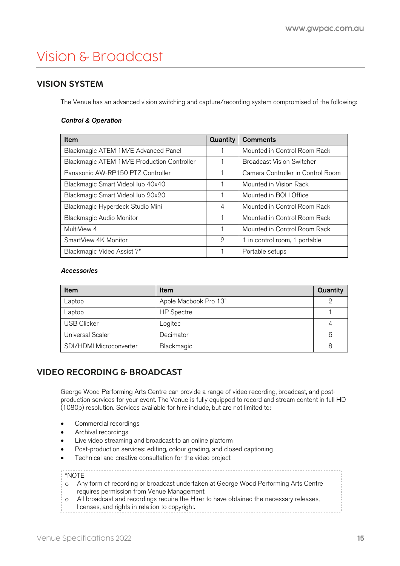# Vision & Broadcast

# VISION SYSTEM

The Venue has an advanced vision switching and capture/recording system compromised of the following:

#### *Control & Operation*

| Item                                       | Quantity | <b>Comments</b>                   |
|--------------------------------------------|----------|-----------------------------------|
| Blackmagic ATEM 1M/E Advanced Panel        |          | Mounted in Control Room Rack      |
| Blackmagic ATEM 1M/E Production Controller |          | <b>Broadcast Vision Switcher</b>  |
| Panasonic AW-RP150 PTZ Controller          |          | Camera Controller in Control Room |
| Blackmagic Smart VideoHub 40x40            |          | Mounted in Vision Rack            |
| Blackmagic Smart VideoHub 20x20            |          | Mounted in BOH Office             |
| Blackmagic Hyperdeck Studio Mini           | 4        | Mounted in Control Room Rack      |
| <b>Blackmagic Audio Monitor</b>            |          | Mounted in Control Room Rack      |
| MultiView 4                                |          | Mounted in Control Room Rack      |
| SmartView 4K Monitor                       | 2        | 1 in control room, 1 portable     |
| Blackmagic Video Assist 7"                 |          | Portable setups                   |

#### *Accessories*

| Item                    | <b>Item</b>           | Quantity |
|-------------------------|-----------------------|----------|
| Laptop                  | Apple Macbook Pro 13" | റ        |
| Laptop                  | <b>HP</b> Spectre     |          |
| <b>USB Clicker</b>      | Logitec               |          |
| <b>Universal Scaler</b> | Decimator             | 6        |
| SDI/HDMI Microconverter | Blackmagic            | 8        |

# VIDEO RECORDING & BROADCAST

George Wood Performing Arts Centre can provide a range of video recording, broadcast, and postproduction services for your event. The Venue is fully equipped to record and stream content in full HD (1080p) resolution. Services available for hire include, but are not limited to:

- Commercial recordings
- Archival recordings
- Live video streaming and broadcast to an online platform
- Post-production services: editing, colour grading, and closed captioning
- Technical and creative consultation for the video project

#### \*NOTE

o Any form of recording or broadcast undertaken at George Wood Performing Arts Centre requires permission from Venue Management.

o All broadcast and recordings require the Hirer to have obtained the necessary releases, licenses, and rights in relation to copyright.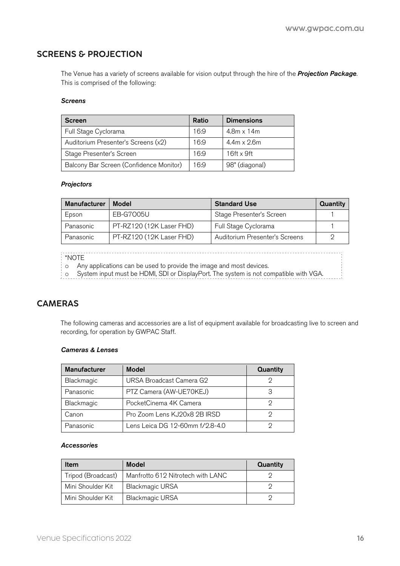# SCREENS & PROJECTION

The Venue has a variety of screens available for vision output through the hire of the *Projection Package.* This is comprised of the following:

#### *Screens*

| <b>Screen</b>                           | Ratio | <b>Dimensions</b>  |
|-----------------------------------------|-------|--------------------|
| Full Stage Cyclorama                    | 16:9  | $4.8m \times 14m$  |
| Auditorium Presenter's Screens (x2)     | 16:9  | $4.4m \times 2.6m$ |
| Stage Presenter's Screen                | 16:9  | $16ft \times 9ft$  |
| Balcony Bar Screen (Confidence Monitor) | 16:9  | 98" (diagonal)     |

#### *Projectors*

| <b>Manufacturer</b> | Model                    | <b>Standard Use</b>            | Quantity |
|---------------------|--------------------------|--------------------------------|----------|
| Epson               | EB-G7005U                | Stage Presenter's Screen       |          |
| Panasonic           | PT-RZ120 (12K Laser FHD) | Full Stage Cyclorama           |          |
| Panasonic           | PT-RZ120 (12K Laser FHD) | Auditorium Presenter's Screens |          |

\*NOTE

o Any applications can be used to provide the image and most devices.

o System input must be HDMI, SDI or DisplayPort. The system is not compatible with VGA.

# CAMERAS

The following cameras and accessories are a list of equipment available for broadcasting live to screen and recording, for operation by GWPAC Staff.

#### *Cameras & Lenses*

| <b>Manufacturer</b> | <b>Model</b>                    | Quantity |
|---------------------|---------------------------------|----------|
| Blackmagic          | URSA Broadcast Camera G2        |          |
| Panasonic           | PTZ Camera (AW-UE70KEJ)         |          |
| Blackmagic          | PocketCinema 4K Camera          |          |
| Canon               | Pro Zoom Lens KJ20x8 2B IRSD    |          |
| Panasonic           | Lens Leica DG 12-60mm f/2.8-4.0 |          |

#### *Accessories*

| <b>Item</b>        | <b>Model</b>                      | Quantity |
|--------------------|-----------------------------------|----------|
| Tripod (Broadcast) | Manfrotto 612 Nitrotech with LANC |          |
| Mini Shoulder Kit  | <b>Blackmagic URSA</b>            |          |
| Mini Shoulder Kit  | <b>Blackmagic URSA</b>            |          |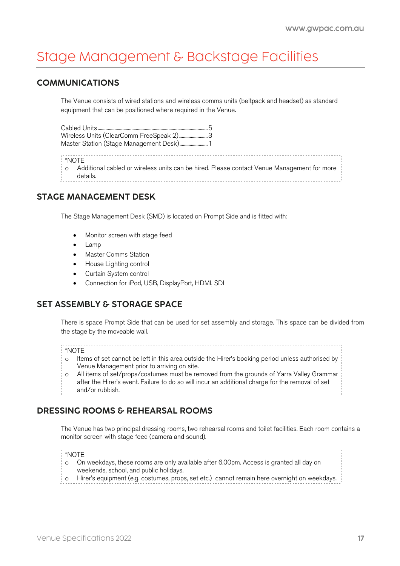# Stage Management & Backstage Facilities

# COMMUNICATIONS

The Venue consists of wired stations and wireless comms units (beltpack and headset) as standard equipment that can be positioned where required in the Venue.

Cabled Units..................................................................................................5 Wireless Units (ClearComm FreeSpeak 2).........................3 Master Station (Stage Management Desk)..........................1 \*NOTE o Additional cabled or wireless units can be hired. Please contact Venue Management for more

details.

# STAGE MANAGEMENT DESK

The Stage Management Desk (SMD) is located on Prompt Side and is fitted with:

- Monitor screen with stage feed
- Lamp
- Master Comms Station
- House Lighting control
- Curtain System control
- Connection for iPod, USB, DisplayPort, HDMI, SDI

# SET ASSEMBLY & STORAGE SPACE

There is space Prompt Side that can be used for set assembly and storage. This space can be divided from the stage by the moveable wall.

#### \*NOTE

- o Items of set cannot be left in this area outside the Hirer's booking period unless authorised by Venue Management prior to arriving on site.
- o All items of set/props/costumes must be removed from the grounds of Yarra Valley Grammar after the Hirer's event. Failure to do so will incur an additional charge for the removal of set and/or rubbish.

# DRESSING ROOMS & REHEARSAL ROOMS

The Venue has two principal dressing rooms, two rehearsal rooms and toilet facilities. Each room contains a monitor screen with stage feed (camera and sound).

#### \*NOTE

- o On weekdays, these rooms are only available after 6.00pm. Access is granted all day on weekends, school, and public holidays.
- o Hirer's equipment (e.g. costumes, props, set etc.) cannot remain here overnight on weekdays.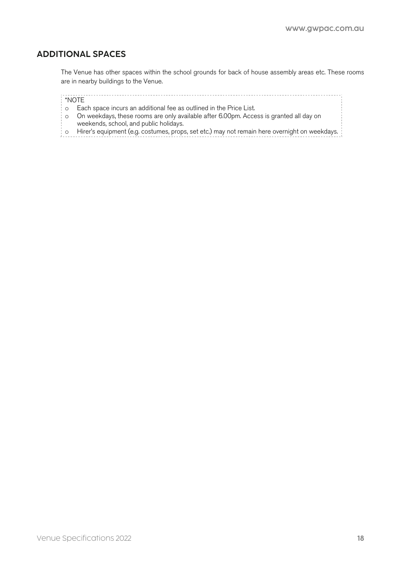## ADDITIONAL SPACES

The Venue has other spaces within the school grounds for back of house assembly areas etc. These rooms are in nearby buildings to the Venue.

#### \*NOTE

- o Each space incurs an additional fee as outlined in the Price List.
- o On weekdays, these rooms are only available after 6.00pm. Access is granted all day on weekends, school, and public holidays.
- $\frac{1}{2}$  o Hirer's equipment (e.g. costumes, props, set etc.) may not remain here overnight on weekdays.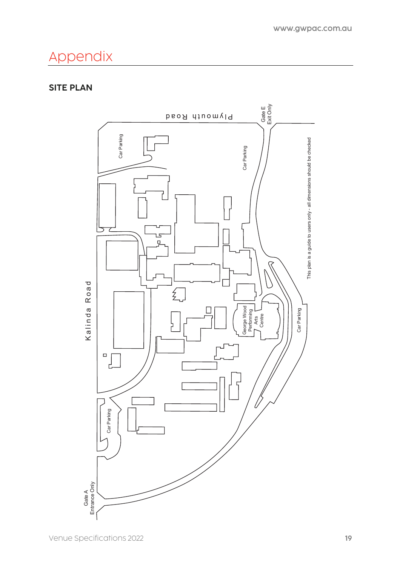# Appendix

# SITE PLAN

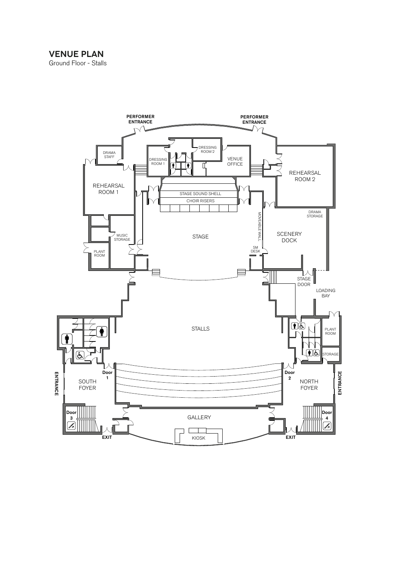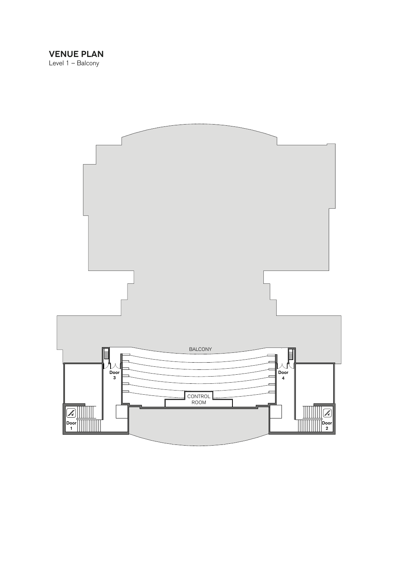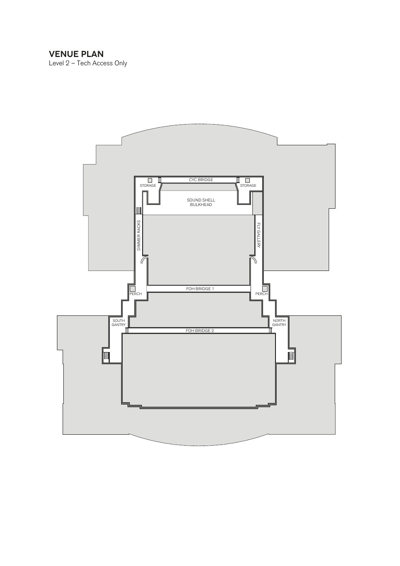## VENUE PLAN

Level 2 – Tech Access Only

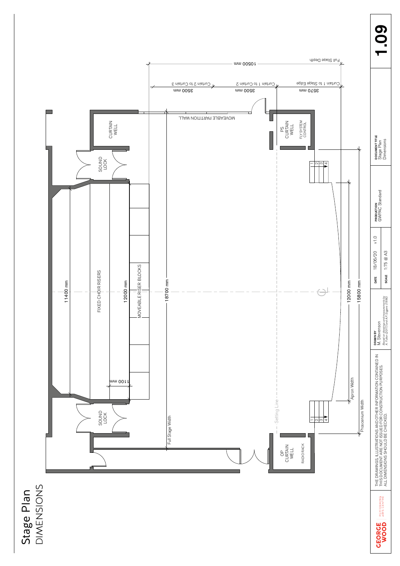

**DIMENSIONS** DIMENSIONS Stage Plan Stage Plan

09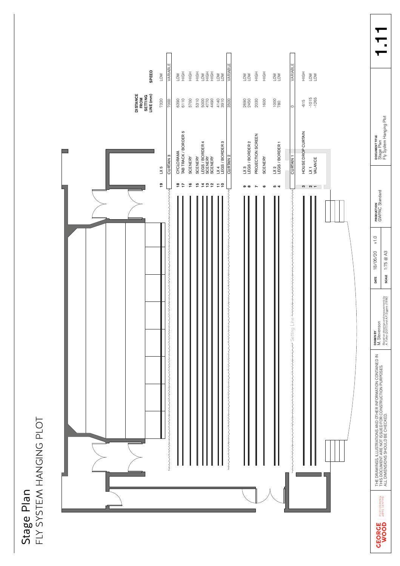|                                        | $\mathbf \zeta$<br>J<br>≘  |
|----------------------------------------|----------------------------|
| I<br><u>ג</u><br>ה<br>Ċ<br>a<br>D<br>້ | ֓׆ׇׇ֖ׅ֞֞֞֞֞֞֞֞֞<br>ーく<br>í |

| SPEED<br><b>DISTANCE<br/>FROM<br/>SETTING<br/>LINE (mm)</b> | <b>VARIABLE</b><br>LOW<br>7320<br>7000    | $\sum_{i=1}^{n}$<br>$\frac{1}{2}$<br>6390<br>6110<br>5700                                                     | $\begin{array}{l} \underline{\underline{\mathbf{a}}} \\ \underline{\underline{\mathbf{b}}} \\ \underline{\underline{\mathbf{b}}} \\ \underline{\underline{\mathbf{b}}} \\ \underline{\underline{\mathbf{b}}} \\ \underline{\underline{\mathbf{b}}} \\ \underline{\underline{\mathbf{b}}} \\ \underline{\underline{\mathbf{b}}} \\ \underline{\underline{\mathbf{b}}} \\ \underline{\underline{\mathbf{b}}} \end{array}$<br>$\sum_{i=1}^{N}$<br>4140<br>3910<br>5310<br>5000<br>4770<br>4490 | WRIABLE<br>HIGH<br>$\frac{1}{2}$<br>VOTI<br>2690<br>2450<br>2030<br>1600<br>3500                                            | <b>VARIABLE</b><br>$\frac{1}{2}$<br>$^{1000}_{780}$<br>$\circ$      | $\frac{1}{2}$<br>$\sum_{i=1}^\infty$<br>$-1015$<br>$-1265$<br>$-615$                                          |
|-------------------------------------------------------------|-------------------------------------------|---------------------------------------------------------------------------------------------------------------|---------------------------------------------------------------------------------------------------------------------------------------------------------------------------------------------------------------------------------------------------------------------------------------------------------------------------------------------------------------------------------------------------------------------------------------------------------------------------------------------|-----------------------------------------------------------------------------------------------------------------------------|---------------------------------------------------------------------|---------------------------------------------------------------------------------------------------------------|
|                                                             | <b>CURTAIN 3</b><br>LX 5<br>$\frac{9}{5}$ | CYCLORAMA<br>TAB TRACK / BORDER 5<br><b>SCENERY</b><br>$\frac{6}{1}$<br>$\frac{\infty}{2}$ $\frac{\infty}{2}$ | SCENERY<br>LEGS / BORDER 4<br>SCENERY<br>SCENERY<br>LX 4<br>LEGS / BORDER 3<br>$\frac{10}{1}$<br>$\begin{array}{c}\n\stackrel{\rightharpoonup}{\sim} & \stackrel{\rightharpoonup}{\sim} \\ \stackrel{\rightharpoonup}{\sim} & \stackrel{\rightharpoonup}{\sim}\n\end{array}$<br>$\Xi$ $\Xi$                                                                                                                                                                                                 | PROJECTION SCREEN<br>LX3<br>LEGS / BORDER 2<br><b>CURTAIN 2</b><br><b>SCENERY</b><br>თთ<br>$\pmb{\omega}$<br>$\overline{ }$ | LX 2<br>LEGS / BORDER 1<br>CURTAIN <sub>1</sub><br><b>54</b>        | HOUSE DROP CURTAIN<br>LX1<br>VALANCE<br>3<br>2<br>2<br>2<br>3<br>2<br>3<br>2<br>3<br>2<br>1<br>2<br>1<br><br> |
|                                                             | ξ<br>www.www.www.www.<br>www.www.www.www. |                                                                                                               |                                                                                                                                                                                                                                                                                                                                                                                                                                                                                             | ξ                                                                                                                           | <b>S</b><br>wa Setting Line <i>movimum mummum mummum s</i> arta bum |                                                                                                               |
|                                                             |                                           |                                                                                                               |                                                                                                                                                                                                                                                                                                                                                                                                                                                                                             |                                                                                                                             |                                                                     |                                                                                                               |

BATTE 1:75 @ A3 1.75 @ A3 1.75 @ A3 1.75 @ A3 1.75 @ A3 1.75 @ A3 1.1111 \$ 1.75 @ A3 1.1111 \$ 1.75 @ A3 1.1111 \$ 1.75 @ A3 1.1111 \$ 1.75 @ A3 1.1111 \$ 1.75 @ A3 1.1111 \$ 1.79 @ A3 1.111 \$ 1.79 @ A3 1.111 \$ 1.111 \$ 1.111 \$  $1.11$ 

 $\blacktriangledown$ 

DRAWN BY M. Stevenson

THE DRAWINGS, ILLUSTRATIONS AND OTHER INFORMATION CONTAINED IN THIS DOCUMENT ARE NOT ISSUED FOR CONSTRUCTION PURPOSES.

THE DRAWINGS, ILLUSTRATIONS AND OTHER INFORMATION CONTAINED IN<br>THIS DOCUMENT ARE NOT ISSUED FOR CONSTRUCTION PURPOSES.<br>ALL DIMENSIONS SHOULD BE CHECKED.

ALL DIMENSIONS SHOULD BE CHECKED.

PERFORMING<br>ARTS CENTRE

**CEORCE** 

DATE  $18/06/20$  v1.0 PRODUCTION

DATE 18/06/20 v1.0 SCALE  $1:75 \text{ } @$  A3

GWPAC Standard

**PRODUCTION**<br>GWPAC Standard

DOCUMENT TITLE **bocument tifle**<br>Stage Plan<br>Fly System Hanging Plot Fly System Hanging Plot

*Based on drawings and measurements by A. Fulton (2017) and A.P. Siggers (1996)*

**DRAWN BY**<br>M. Stevenson<br>*Based on drawings and measurements by*<br>A. Futon (2017) and A.P. Siggers (1996)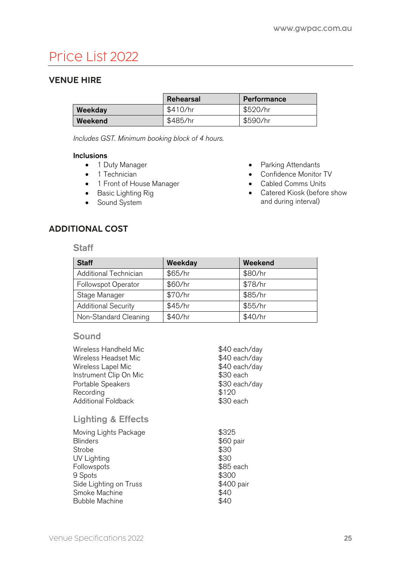# Price List 2022

# VENUE HIRE

|         | Rehearsal | Performance |
|---------|-----------|-------------|
| Weekday | \$410/hr  | \$520/hr    |
| Weekend | \$485/hr  | \$590/hr    |

*Includes GST. Minimum booking block of 4 hours.*

#### Inclusions

- 1 Duty Manager
- 1 Technician
- 1 Front of House Manager
- Basic Lighting Rig
- Sound System
- Parking Attendants
- Confidence Monitor TV
- Cabled Comms Units
- Catered Kiosk (before show and during interval)

# ADDITIONAL COST

#### **Staff**

| <b>Staff</b>               | Weekday | Weekend |
|----------------------------|---------|---------|
| Additional Technician      | \$65/hr | \$80/hr |
| Followspot Operator        | \$60/hr | \$78/hr |
| Stage Manager              | \$70/hr | \$85/hr |
| <b>Additional Security</b> | \$45/hr | \$55/hr |
| Non-Standard Cleaning      | \$40/hr | \$40/hr |

# **Sound**

| Wireless Handheld Mic         | \$40 each/day |
|-------------------------------|---------------|
| Wireless Headset Mic          | \$40 each/day |
| Wireless Lapel Mic            | \$40 each/day |
| Instrument Clip On Mic        | \$30 each     |
| Portable Speakers             | \$30 each/day |
| Recording                     | \$120         |
| <b>Additional Foldback</b>    | \$30 each     |
| <b>Lighting &amp; Effects</b> |               |
| Moving Lights Package         | \$325         |
| <b>Blinders</b>               | \$60 pair     |
| Strobe                        | \$30          |
| UV Lighting                   | \$30          |
| Followspots                   | \$85 each     |
| 9 Spots                       | \$300         |
| Side Lighting on Truss        | \$400 pair    |
| Smoke Machine                 | \$40          |
| Bubble Machine                | \$40          |